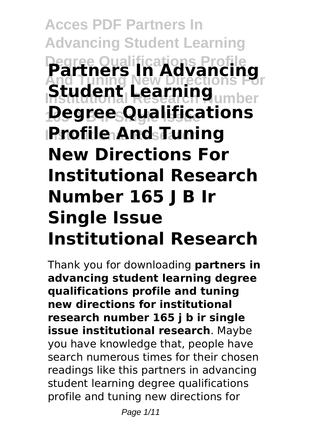# **Acces PDF Partners In Advancing Student Learning Degree Qualifications Profile And Tuning New Directions For Institutional Research Number 165 J B Ir Single Issue Degree Qualifications Institutional Research Profile And Tuning Partners In Advancing** dent Lea **New Directions For Institutional Research Number 165 J B Ir Single Issue Institutional Research**

Thank you for downloading **partners in advancing student learning degree qualifications profile and tuning new directions for institutional research number 165 j b ir single issue institutional research**. Maybe you have knowledge that, people have search numerous times for their chosen readings like this partners in advancing student learning degree qualifications profile and tuning new directions for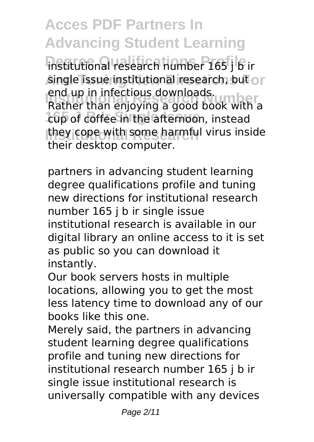**Acces PDF Partners In Advancing Student Learning** institutional research number 165 j b ir single issue institutional research, but or **Institutional Research Number** Rather than enjoying a good book with a **165 J B Ir Single Issue** cup of coffee in the afternoon, instead they cope with some harmful virus inside end up in infectious downloads. their desktop computer.

partners in advancing student learning degree qualifications profile and tuning new directions for institutional research number 165 j b ir single issue institutional research is available in our digital library an online access to it is set as public so you can download it instantly.

Our book servers hosts in multiple locations, allowing you to get the most less latency time to download any of our books like this one.

Merely said, the partners in advancing student learning degree qualifications profile and tuning new directions for institutional research number 165 j b ir single issue institutional research is universally compatible with any devices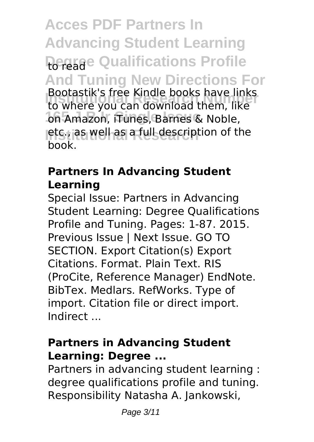**Acces PDF Partners In Advancing Student Learning Roreade Qualifications Profile And Tuning New Directions For Institutional Research Number** to where you can download them, like on Amazon, iTunes, Barnes & Noble, letc., as well as a full description of the Bootastik's free Kindle books have links book.

# **Partners In Advancing Student Learning**

Special Issue: Partners in Advancing Student Learning: Degree Qualifications Profile and Tuning. Pages: 1-87. 2015. Previous Issue | Next Issue. GO TO SECTION. Export Citation(s) Export Citations. Format. Plain Text. RIS (ProCite, Reference Manager) EndNote. BibTex. Medlars. RefWorks. Type of import. Citation file or direct import. Indirect ...

# **Partners in Advancing Student Learning: Degree ...**

Partners in advancing student learning : degree qualifications profile and tuning. Responsibility Natasha A. Jankowski,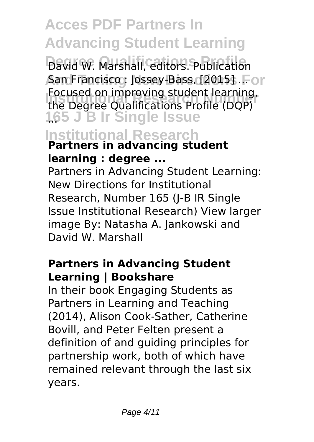# **Acces PDF Partners In Advancing Student Learning**

David W. Marshall, editors. Publication San Francisco : Jossey-Bass, [2015] .For **Institutional Research Number**<br>The Degree Qualifications Profile (DQP) **165 J B Ir Single Issue** ... Focused on improving student learning,

# **Institutional Research Partners in advancing student learning : degree ...**

Partners in Advancing Student Learning: New Directions for Institutional Research, Number 165 (J-B IR Single Issue Institutional Research) View larger image By: Natasha A. Jankowski and David W. Marshall

#### **Partners in Advancing Student Learning | Bookshare**

In their book Engaging Students as Partners in Learning and Teaching (2014), Alison Cook-Sather, Catherine Bovill, and Peter Felten present a definition of and guiding principles for partnership work, both of which have remained relevant through the last six years.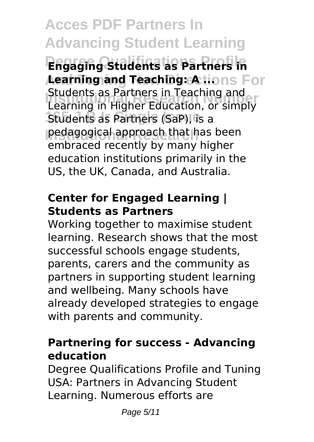**Acces PDF Partners In Advancing Student Learning Degree Qualifications Profile Engaging Students as Partners in Aearning and Teaching: A ....** For **Institutional Research Number** Learning in Higher Education, or simply **165 Students as Partners (SaP), is a Institutional Research** pedagogical approach that has been Students as Partners in Teaching and embraced recently by many higher education institutions primarily in the US, the UK, Canada, and Australia.

# **Center for Engaged Learning | Students as Partners**

Working together to maximise student learning. Research shows that the most successful schools engage students, parents, carers and the community as partners in supporting student learning and wellbeing. Many schools have already developed strategies to engage with parents and community.

# **Partnering for success - Advancing education**

Degree Qualifications Profile and Tuning USA: Partners in Advancing Student Learning. Numerous efforts are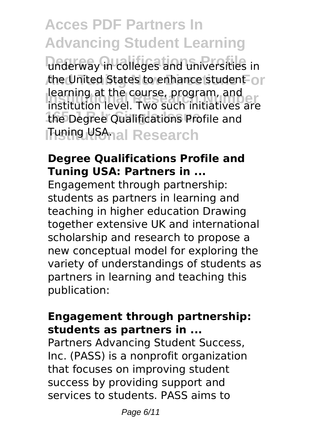**Acces PDF Partners In Advancing Student Learning** underway in colleges and universities in the United States to enhance student or **Institutional Research Number** institution level. Two such initiatives are the Degree Qualifications Profile and **Tuning USA**nal Research learning at the course, program, and

### **Degree Qualifications Profile and Tuning USA: Partners in ...**

Engagement through partnership: students as partners in learning and teaching in higher education Drawing together extensive UK and international scholarship and research to propose a new conceptual model for exploring the variety of understandings of students as partners in learning and teaching this publication:

#### **Engagement through partnership: students as partners in ...**

Partners Advancing Student Success, Inc. (PASS) is a nonprofit organization that focuses on improving student success by providing support and services to students. PASS aims to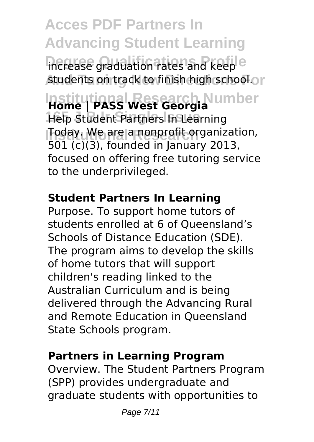**Acces PDF Partners In Advancing Student Learning** increase graduation rates and keep<sup>e</sup> **students on track to finish high school. Institutional Research Number Home | PASS West Georgia 165 J B Ir Single Issue** Help Student Partners In Learning **Today. We are a nonprofit organization,** 501 (c)(3), founded in January 2013, focused on offering free tutoring service to the underprivileged.

# **Student Partners In Learning**

Purpose. To support home tutors of students enrolled at 6 of Queensland's Schools of Distance Education (SDE). The program aims to develop the skills of home tutors that will support children's reading linked to the Australian Curriculum and is being delivered through the Advancing Rural and Remote Education in Queensland State Schools program.

# **Partners in Learning Program**

Overview. The Student Partners Program (SPP) provides undergraduate and graduate students with opportunities to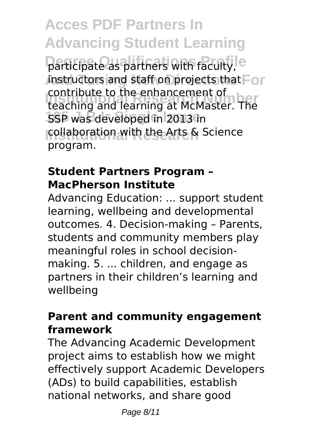**Acces PDF Partners In Advancing Student Learning** participate as partners with faculty, e instructors and staff on projects that For **Institutional Research Number** teaching and learning at McMaster. The **165 SSP** was developed in 2013 in **Collaboration with the Arts & Science** contribute to the enhancement of program.

### **Student Partners Program – MacPherson Institute**

Advancing Education: ... support student learning, wellbeing and developmental outcomes. 4. Decision-making – Parents, students and community members play meaningful roles in school decisionmaking. 5. ... children, and engage as partners in their children's learning and wellbeing

### **Parent and community engagement framework**

The Advancing Academic Development project aims to establish how we might effectively support Academic Developers (ADs) to build capabilities, establish national networks, and share good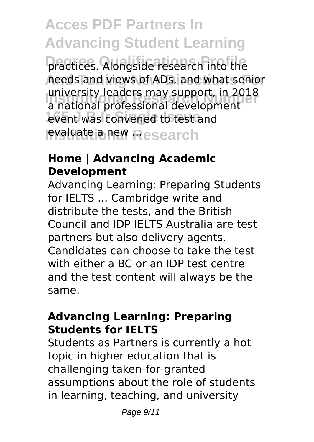**Acces PDF Partners In Advancing Student Learning** practices. Alongside research into the **And Tuning New Directions For** needs and views of ADs, and what senior **Institutional Research Number** a national professional development event was convened to test and **evaluate a new Research** university leaders may support, in 2018

### **Home | Advancing Academic Development**

Advancing Learning: Preparing Students for IELTS ... Cambridge write and distribute the tests, and the British Council and IDP IELTS Australia are test partners but also delivery agents. Candidates can choose to take the test with either a BC or an IDP test centre and the test content will always be the same.

#### **Advancing Learning: Preparing Students for IELTS**

Students as Partners is currently a hot topic in higher education that is challenging taken-for-granted assumptions about the role of students in learning, teaching, and university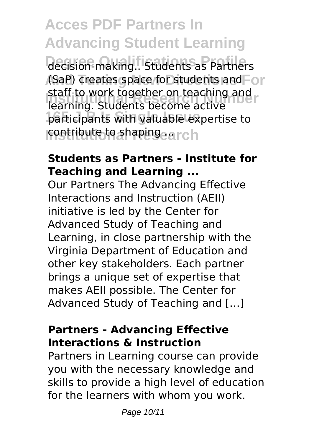**Acces PDF Partners In Advancing Student Learning** decision-making.. Students as Partners (SaP) creates space for students and For **Institutional Research Number** learning. Students become active participants with valuable expertise to **contribute to shaping arch** staff to work together on teaching and

#### **Students as Partners - Institute for Teaching and Learning ...**

Our Partners The Advancing Effective Interactions and Instruction (AEII) initiative is led by the Center for Advanced Study of Teaching and Learning, in close partnership with the Virginia Department of Education and other key stakeholders. Each partner brings a unique set of expertise that makes AEII possible. The Center for Advanced Study of Teaching and […]

# **Partners - Advancing Effective Interactions & Instruction**

Partners in Learning course can provide you with the necessary knowledge and skills to provide a high level of education for the learners with whom you work.